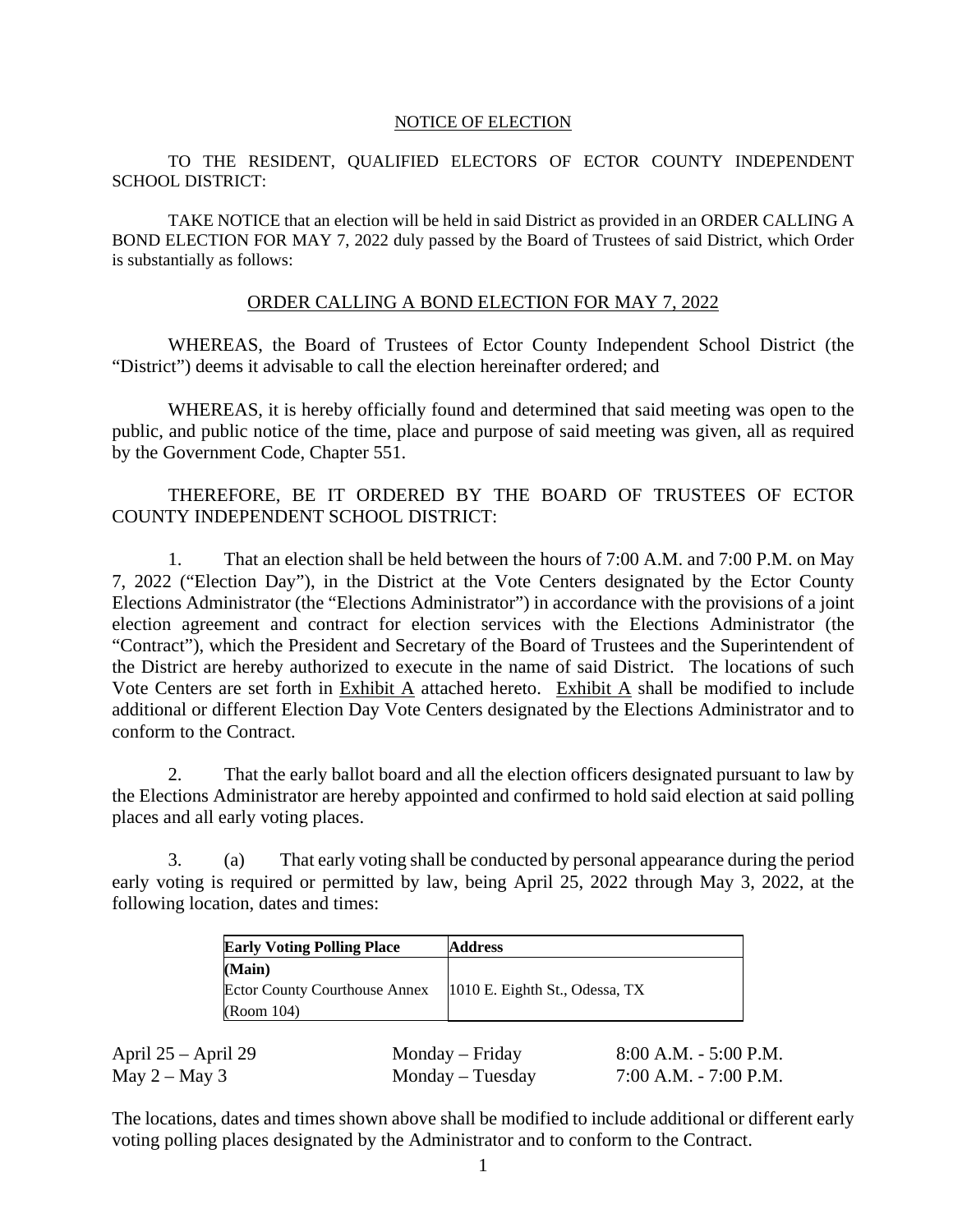#### NOTICE OF ELECTION

#### TO THE RESIDENT, QUALIFIED ELECTORS OF ECTOR COUNTY INDEPENDENT SCHOOL DISTRICT:

 TAKE NOTICE that an election will be held in said District as provided in an ORDER CALLING A BOND ELECTION FOR MAY 7, 2022 duly passed by the Board of Trustees of said District, which Order is substantially as follows:

#### ORDER CALLING A BOND ELECTION FOR MAY 7, 2022

 WHEREAS, the Board of Trustees of Ector County Independent School District (the "District") deems it advisable to call the election hereinafter ordered; and

 WHEREAS, it is hereby officially found and determined that said meeting was open to the public, and public notice of the time, place and purpose of said meeting was given, all as required by the Government Code, Chapter 551.

### THEREFORE, BE IT ORDERED BY THE BOARD OF TRUSTEES OF ECTOR COUNTY INDEPENDENT SCHOOL DISTRICT:

 1. That an election shall be held between the hours of 7:00 A.M. and 7:00 P.M. on May 7, 2022 ("Election Day"), in the District at the Vote Centers designated by the Ector County Elections Administrator (the "Elections Administrator") in accordance with the provisions of a joint election agreement and contract for election services with the Elections Administrator (the "Contract"), which the President and Secretary of the Board of Trustees and the Superintendent of the District are hereby authorized to execute in the name of said District. The locations of such Vote Centers are set forth in Exhibit A attached hereto. Exhibit A shall be modified to include additional or different Election Day Vote Centers designated by the Elections Administrator and to conform to the Contract.

 2. That the early ballot board and all the election officers designated pursuant to law by the Elections Administrator are hereby appointed and confirmed to hold said election at said polling places and all early voting places.

 3. (a) That early voting shall be conducted by personal appearance during the period early voting is required or permitted by law, being April 25, 2022 through May 3, 2022, at the following location, dates and times:

| <b>Early Voting Polling Place</b>    | <b>Address</b>                   |  |  |
|--------------------------------------|----------------------------------|--|--|
| (Main)                               |                                  |  |  |
| <b>Ector County Courthouse Annex</b> | $1010$ E. Eighth St., Odessa, TX |  |  |
| (Room 104)                           |                                  |  |  |

| April $25 -$ April 29 | Monday – Friday  | $8:00$ A.M. - 5:00 P.M. |
|-----------------------|------------------|-------------------------|
| May $2 -$ May 3       | Monday – Tuesday | 7:00 A.M. - 7:00 P.M.   |

The locations, dates and times shown above shall be modified to include additional or different early voting polling places designated by the Administrator and to conform to the Contract.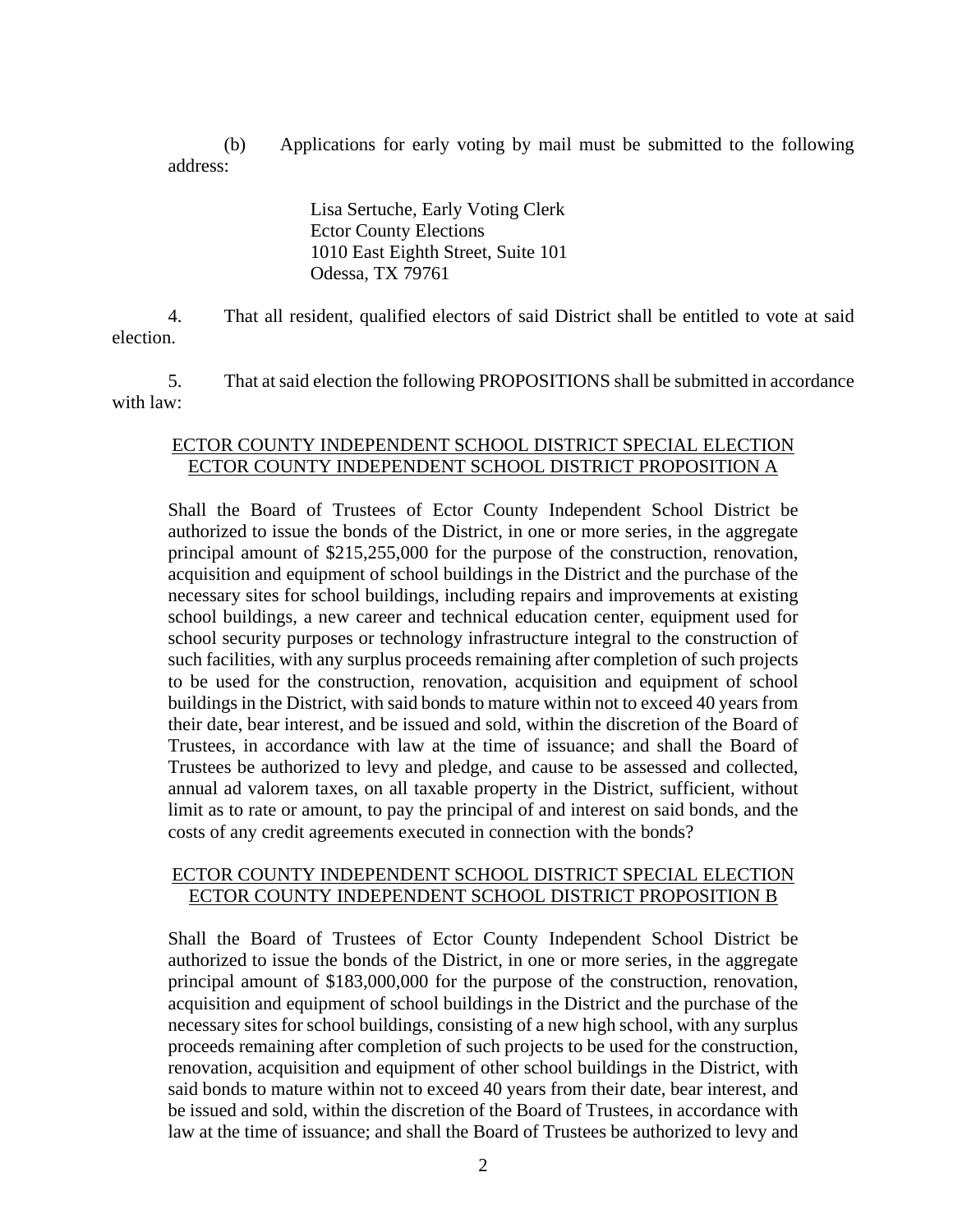(b) Applications for early voting by mail must be submitted to the following address:

> Lisa Sertuche, Early Voting Clerk Ector County Elections 1010 East Eighth Street, Suite 101 Odessa, TX 79761

 4. That all resident, qualified electors of said District shall be entitled to vote at said election.

 5. That at said election the following PROPOSITIONS shall be submitted in accordance with law:

### ECTOR COUNTY INDEPENDENT SCHOOL DISTRICT SPECIAL ELECTION ECTOR COUNTY INDEPENDENT SCHOOL DISTRICT PROPOSITION A

Shall the Board of Trustees of Ector County Independent School District be authorized to issue the bonds of the District, in one or more series, in the aggregate principal amount of \$215,255,000 for the purpose of the construction, renovation, acquisition and equipment of school buildings in the District and the purchase of the necessary sites for school buildings, including repairs and improvements at existing school buildings, a new career and technical education center, equipment used for school security purposes or technology infrastructure integral to the construction of such facilities, with any surplus proceeds remaining after completion of such projects to be used for the construction, renovation, acquisition and equipment of school buildings in the District, with said bonds to mature within not to exceed 40 years from their date, bear interest, and be issued and sold, within the discretion of the Board of Trustees, in accordance with law at the time of issuance; and shall the Board of Trustees be authorized to levy and pledge, and cause to be assessed and collected, annual ad valorem taxes, on all taxable property in the District, sufficient, without limit as to rate or amount, to pay the principal of and interest on said bonds, and the costs of any credit agreements executed in connection with the bonds?

### ECTOR COUNTY INDEPENDENT SCHOOL DISTRICT SPECIAL ELECTION ECTOR COUNTY INDEPENDENT SCHOOL DISTRICT PROPOSITION B

Shall the Board of Trustees of Ector County Independent School District be authorized to issue the bonds of the District, in one or more series, in the aggregate principal amount of \$183,000,000 for the purpose of the construction, renovation, acquisition and equipment of school buildings in the District and the purchase of the necessary sites for school buildings, consisting of a new high school, with any surplus proceeds remaining after completion of such projects to be used for the construction, renovation, acquisition and equipment of other school buildings in the District, with said bonds to mature within not to exceed 40 years from their date, bear interest, and be issued and sold, within the discretion of the Board of Trustees, in accordance with law at the time of issuance; and shall the Board of Trustees be authorized to levy and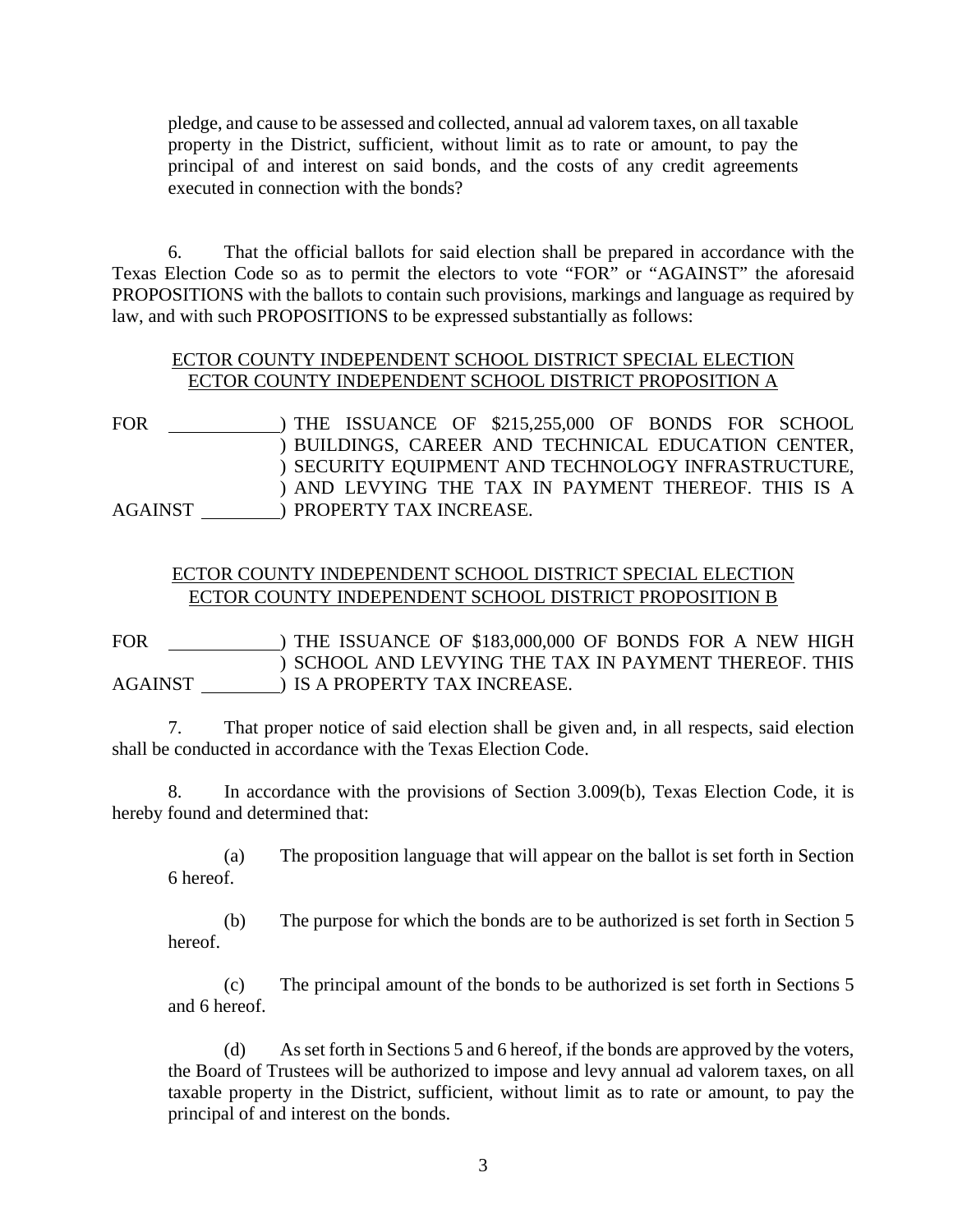pledge, and cause to be assessed and collected, annual ad valorem taxes, on all taxable property in the District, sufficient, without limit as to rate or amount, to pay the principal of and interest on said bonds, and the costs of any credit agreements executed in connection with the bonds?

 6. That the official ballots for said election shall be prepared in accordance with the Texas Election Code so as to permit the electors to vote "FOR" or "AGAINST" the aforesaid PROPOSITIONS with the ballots to contain such provisions, markings and language as required by law, and with such PROPOSITIONS to be expressed substantially as follows:

## ECTOR COUNTY INDEPENDENT SCHOOL DISTRICT SPECIAL ELECTION ECTOR COUNTY INDEPENDENT SCHOOL DISTRICT PROPOSITION A

FOR \_\_\_\_\_\_\_\_\_\_\_\_\_\_) THE ISSUANCE OF \$215,255,000 OF BONDS FOR SCHOOL  $\overline{\phantom{a}}$  $\overline{\phantom{a}}$  $\overline{\phantom{a}}$ AGAINST \_\_\_\_\_\_\_\_\_\_\_\_) PROPERTY TAX INCREASE. BUILDINGS, CAREER AND TECHNICAL EDUCATION CENTER, ) SECURITY EQUIPMENT AND TECHNOLOGY INFRASTRUCTURE, AND LEVYING THE TAX IN PAYMENT THEREOF. THIS IS A

## ECTOR COUNTY INDEPENDENT SCHOOL DISTRICT SPECIAL ELECTION ECTOR COUNTY INDEPENDENT SCHOOL DISTRICT PROPOSITION B

FOR \_\_\_\_\_\_\_\_\_\_\_\_\_\_\_) THE ISSUANCE OF \$183,000,000 OF BONDS FOR A NEW HIGH  $\overline{\phantom{a}}$ AGAINST \_\_\_\_\_\_\_\_\_\_\_) IS A PROPERTY TAX INCREASE. ) SCHOOL AND LEVYING THE TAX IN PAYMENT THEREOF. THIS

 7. That proper notice of said election shall be given and, in all respects, said election shall be conducted in accordance with the Texas Election Code.

 8. In accordance with the provisions of Section 3.009(b), Texas Election Code, it is hereby found and determined that:

 (a) The proposition language that will appear on the ballot is set forth in Section 6 hereof.

 (b) The purpose for which the bonds are to be authorized is set forth in Section 5 hereof.

 (c) The principal amount of the bonds to be authorized is set forth in Sections 5 and 6 hereof.

 (d) As set forth in Sections 5 and 6 hereof, if the bonds are approved by the voters, the Board of Trustees will be authorized to impose and levy annual ad valorem taxes, on all taxable property in the District, sufficient, without limit as to rate or amount, to pay the principal of and interest on the bonds.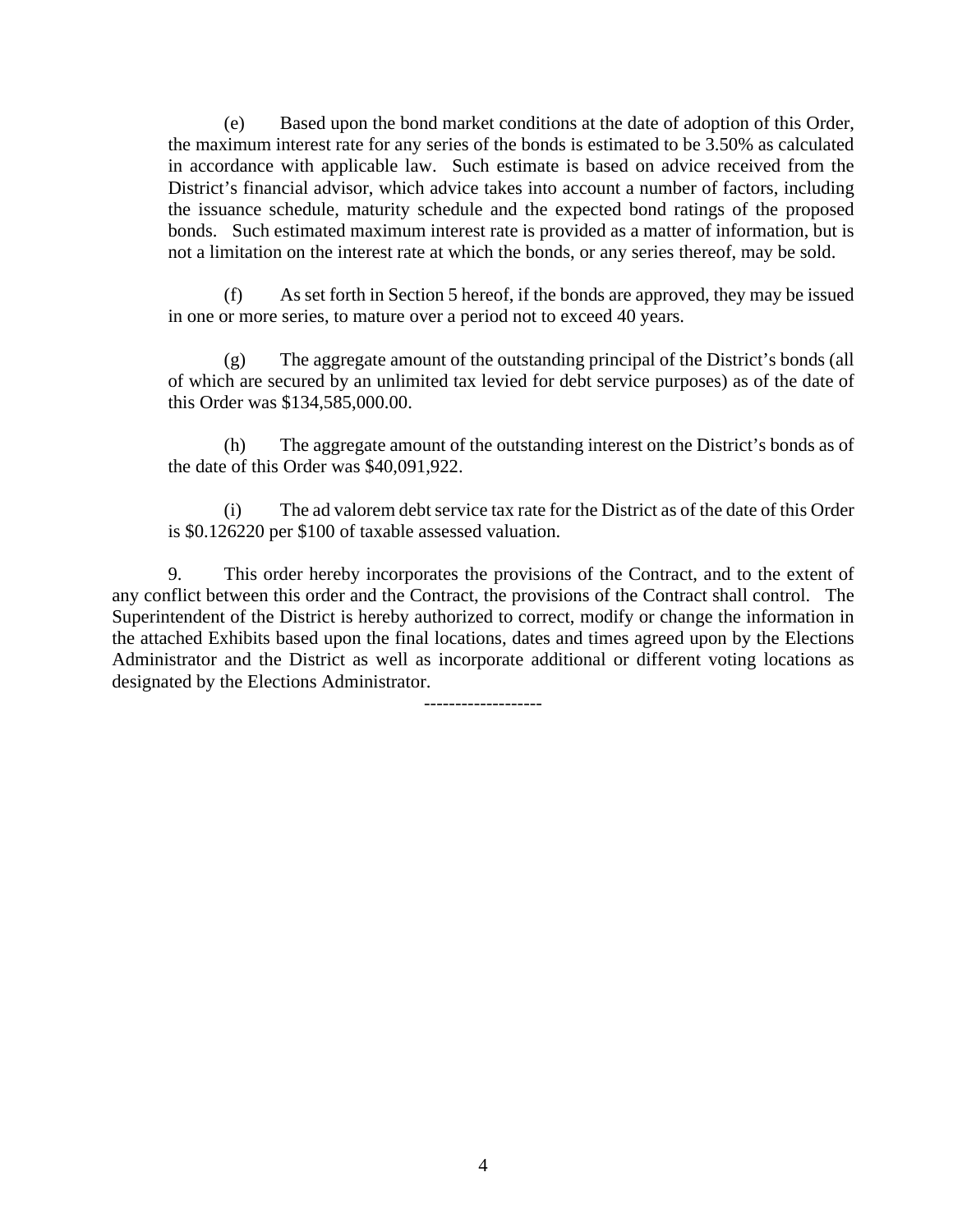(e) Based upon the bond market conditions at the date of adoption of this Order, the maximum interest rate for any series of the bonds is estimated to be 3.50% as calculated in accordance with applicable law. Such estimate is based on advice received from the District's financial advisor, which advice takes into account a number of factors, including the issuance schedule, maturity schedule and the expected bond ratings of the proposed bonds. Such estimated maximum interest rate is provided as a matter of information, but is not a limitation on the interest rate at which the bonds, or any series thereof, may be sold.

 (f) As set forth in Section 5 hereof, if the bonds are approved, they may be issued in one or more series, to mature over a period not to exceed 40 years.

 (g) The aggregate amount of the outstanding principal of the District's bonds (all of which are secured by an unlimited tax levied for debt service purposes) as of the date of this Order was \$134,585,000.00.

 (h) The aggregate amount of the outstanding interest on the District's bonds as of the date of this Order was \$40,091,922.

 (i) The ad valorem debt service tax rate for the District as of the date of this Order is \$0.126220 per \$100 of taxable assessed valuation.

 9. This order hereby incorporates the provisions of the Contract, and to the extent of any conflict between this order and the Contract, the provisions of the Contract shall control. The Superintendent of the District is hereby authorized to correct, modify or change the information in the attached Exhibits based upon the final locations, dates and times agreed upon by the Elections Administrator and the District as well as incorporate additional or different voting locations as designated by the Elections Administrator.

-------------------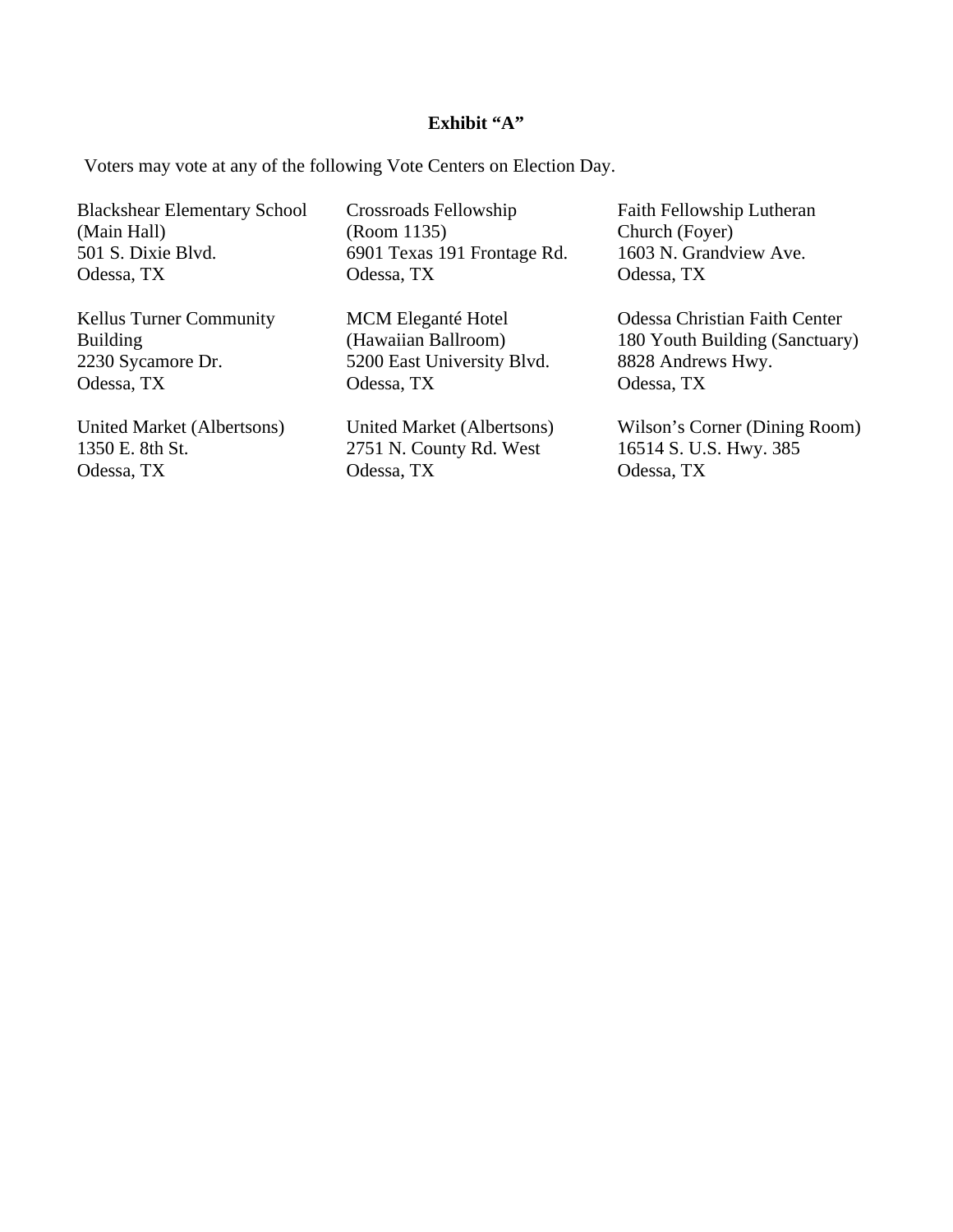#### **Exhibit "A"**

Voters may vote at any of the following Vote Centers on Election Day.

Blackshear Elementary School (Main Hall) 501 S. Dixie Blvd. Odessa, TX

Kellus Turner Community Building 2230 Sycamore Dr. Odessa, TX

United Market (Albertsons) 1350 E. 8th St. Odessa, TX

Crossroads Fellowship (Room 1135) 6901 Texas 191 Frontage Rd. Odessa, TX

MCM Eleganté Hotel (Hawaiian Ballroom) 5200 East University Blvd. Odessa, TX

United Market (Albertsons) 2751 N. County Rd. West Odessa, TX

Faith Fellowship Lutheran Church (Foyer) 1603 N. Grandview Ave. Odessa, TX

Odessa Christian Faith Center 180 Youth Building (Sanctuary) 8828 Andrews Hwy. Odessa, TX

Wilson's Corner (Dining Room) 16514 S. U.S. Hwy. 385 Odessa, TX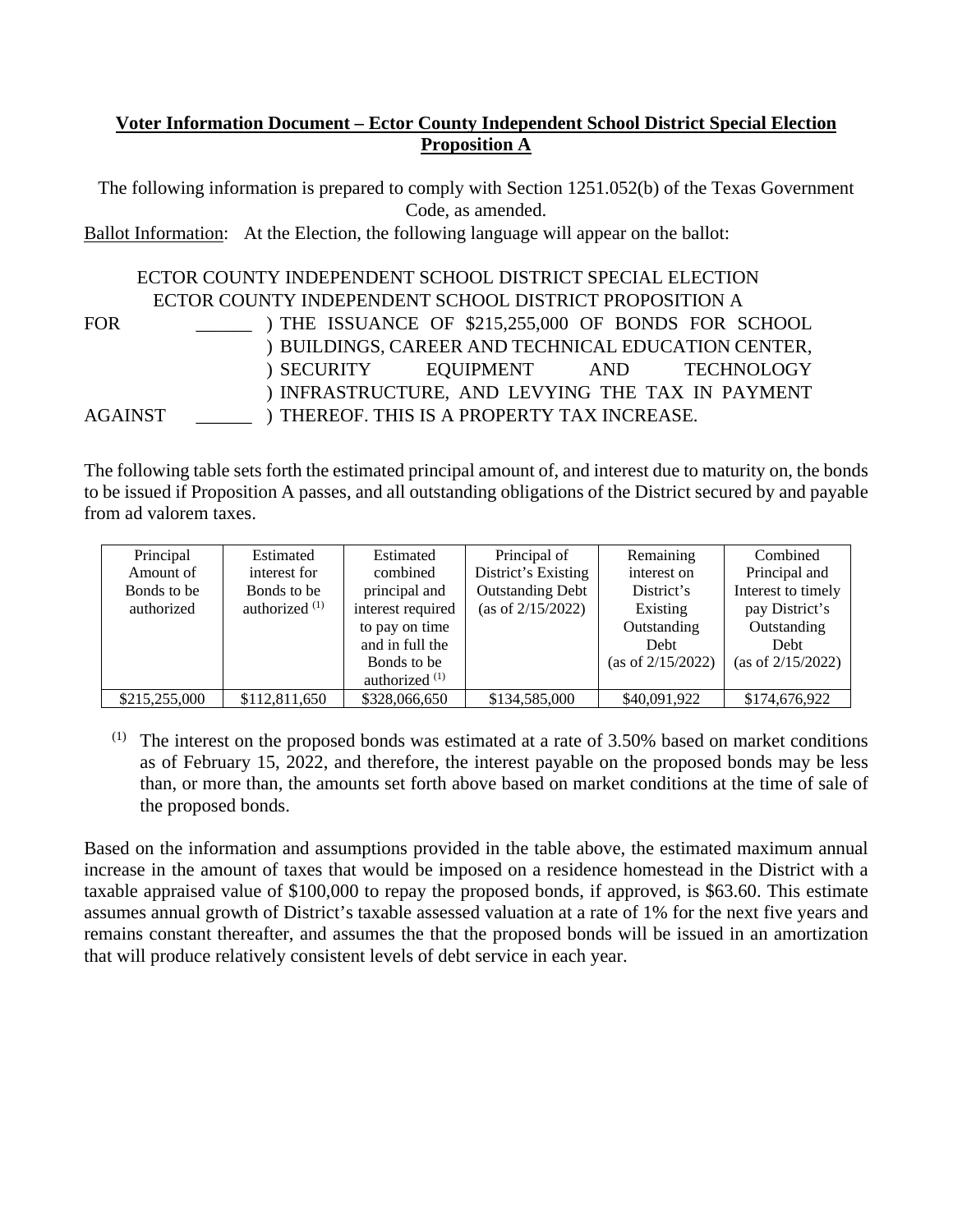## **Voter Information Document – Ector County Independent School District Special Election Proposition A**

The following information is prepared to comply with Section 1251.052(b) of the Texas Government Code, as amended.

Ballot Information: At the Election, the following language will appear on the ballot:

#### ECTOR COUNTY INDEPENDENT SCHOOL DISTRICT SPECIAL ELECTION ECTOR COUNTY INDEPENDENT SCHOOL DISTRICT PROPOSITION A FOR \_\_\_\_\_\_ AGAINST \_\_\_\_\_\_ ) THE ISSUANCE OF \$215,255,000 OF BONDS FOR SCHOOL ) BUILDINGS, CAREER AND TECHNICAL EDUCATION CENTER, ) SECURITY ) INFRASTRUCTURE, AND LEVYING THE TAX IN PAYMENT ) THEREOF. THIS IS A PROPERTY TAX INCREASE. EQUIPMENT AND TECHNOLOGY

The following table sets forth the estimated principal amount of, and interest due to maturity on, the bonds to be issued if Proposition A passes, and all outstanding obligations of the District secured by and payable from ad valorem taxes.

| Principal     | Estimated        | Estimated         | Principal of            | Remaining            | Combined             |
|---------------|------------------|-------------------|-------------------------|----------------------|----------------------|
| Amount of     | interest for     | combined          | District's Existing     | interest on          | Principal and        |
| Bonds to be   | Bonds to be      | principal and     | <b>Outstanding Debt</b> | District's           | Interest to timely   |
| authorized    | authorized $(1)$ | interest required | (as of $2/15/2022$ )    | Existing             | pay District's       |
|               |                  | to pay on time    |                         | Outstanding          | Outstanding          |
|               |                  | and in full the   |                         | Debt                 | Debt                 |
|               |                  | Bonds to be       |                         | (as of $2/15/2022$ ) | (as of $2/15/2022$ ) |
|               |                  | authorized $(1)$  |                         |                      |                      |
| \$215,255,000 | \$112,811,650    | \$328,066,650     | \$134,585,000           | \$40,091,922         | \$174,676,922        |

 $(1)$  The interest on the proposed bonds was estimated at a rate of 3.50% based on market conditions as of February 15, 2022, and therefore, the interest payable on the proposed bonds may be less than, or more than, the amounts set forth above based on market conditions at the time of sale of the proposed bonds.

Based on the information and assumptions provided in the table above, the estimated maximum annual increase in the amount of taxes that would be imposed on a residence homestead in the District with a taxable appraised value of \$100,000 to repay the proposed bonds, if approved, is \$63.60. This estimate assumes annual growth of District's taxable assessed valuation at a rate of 1% for the next five years and remains constant thereafter, and assumes the that the proposed bonds will be issued in an amortization that will produce relatively consistent levels of debt service in each year.